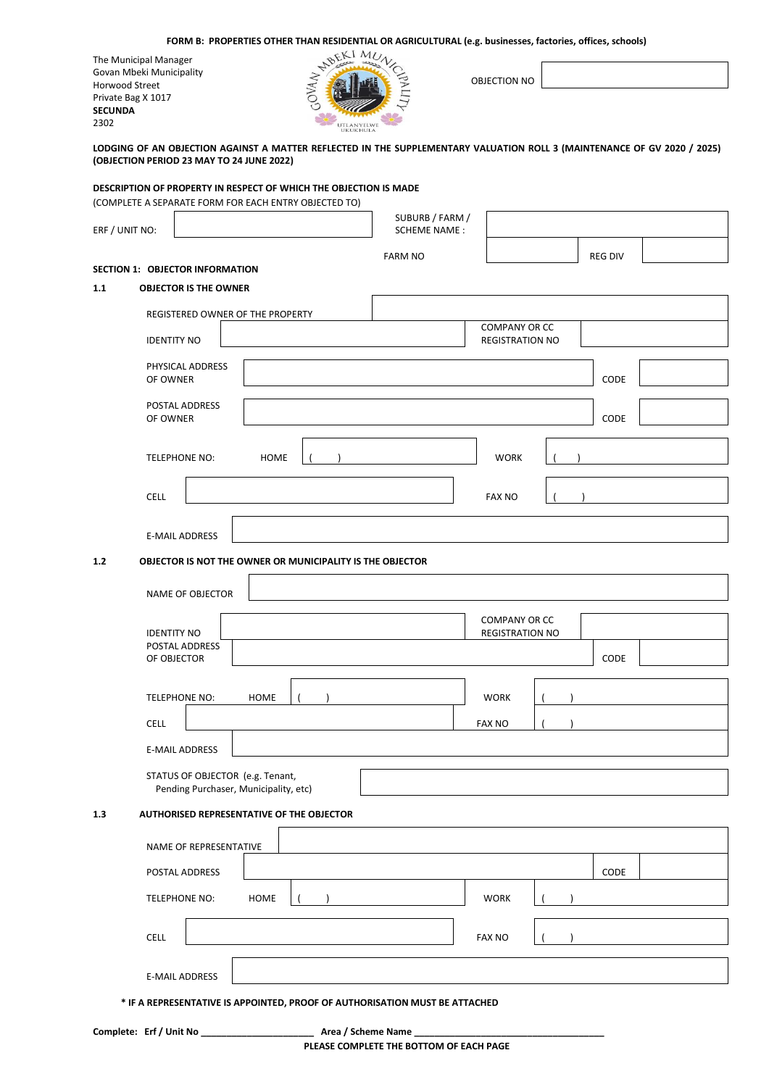| FORM B: PROPERTIES OTHER THAN RESIDENTIAL OR AGRICULTURAL (e.g. businesses, factories, offices, schools) |  |  |  |  |
|----------------------------------------------------------------------------------------------------------|--|--|--|--|
|----------------------------------------------------------------------------------------------------------|--|--|--|--|

The Municipal Manager Govan Mbeki Municipality Horwood Street Private Bag X 1017 **SECUNDA** 2302



OBJECTION NO

# **LODGING OF AN OBJECTION AGAINST A MATTER REFLECTED IN THE SUPPLEMENTARY VALUATION ROLL 3 (MAINTENANCE OF GV 2020 / 2025) (OBJECTION PERIOD 23 MAY TO 24 JUNE 2022)**

## **DESCRIPTION OF PROPERTY IN RESPECT OF WHICH THE OBJECTION IS MADE**

(COMPLETE A SEPARATE FORM FOR EACH ENTRY OBJECTED TO)

| ERF / UNIT NO:                  |                                                                           |             |                                                           | SUBURB / FARM /<br><b>SCHEME NAME:</b> |                                                |                |  |
|---------------------------------|---------------------------------------------------------------------------|-------------|-----------------------------------------------------------|----------------------------------------|------------------------------------------------|----------------|--|
|                                 |                                                                           |             |                                                           | <b>FARM NO</b>                         |                                                | <b>REG DIV</b> |  |
| SECTION 1: OBJECTOR INFORMATION |                                                                           |             |                                                           |                                        |                                                |                |  |
| 1.1                             | <b>OBJECTOR IS THE OWNER</b>                                              |             |                                                           |                                        |                                                |                |  |
|                                 | REGISTERED OWNER OF THE PROPERTY                                          |             |                                                           |                                        | <b>COMPANY OR CC</b>                           |                |  |
|                                 | <b>IDENTITY NO</b>                                                        |             |                                                           |                                        | <b>REGISTRATION NO</b>                         |                |  |
|                                 | PHYSICAL ADDRESS<br>OF OWNER                                              |             |                                                           |                                        |                                                | CODE           |  |
|                                 | POSTAL ADDRESS<br>OF OWNER                                                |             |                                                           |                                        |                                                | CODE           |  |
|                                 | TELEPHONE NO:                                                             | <b>HOME</b> |                                                           |                                        | <b>WORK</b>                                    |                |  |
| <b>CELL</b>                     |                                                                           |             |                                                           |                                        | <b>FAX NO</b>                                  |                |  |
|                                 | <b>E-MAIL ADDRESS</b>                                                     |             |                                                           |                                        |                                                |                |  |
| $1.2$                           |                                                                           |             | OBJECTOR IS NOT THE OWNER OR MUNICIPALITY IS THE OBJECTOR |                                        |                                                |                |  |
|                                 | NAME OF OBJECTOR                                                          |             |                                                           |                                        |                                                |                |  |
|                                 | <b>IDENTITY NO</b>                                                        |             |                                                           |                                        | <b>COMPANY OR CC</b><br><b>REGISTRATION NO</b> |                |  |
|                                 | POSTAL ADDRESS<br>OF OBJECTOR                                             |             |                                                           |                                        |                                                | CODE           |  |
|                                 | <b>TELEPHONE NO:</b>                                                      | <b>HOME</b> |                                                           |                                        | <b>WORK</b>                                    |                |  |
| <b>CELL</b>                     |                                                                           |             |                                                           |                                        | <b>FAX NO</b>                                  |                |  |
|                                 | <b>E-MAIL ADDRESS</b>                                                     |             |                                                           |                                        |                                                |                |  |
|                                 | STATUS OF OBJECTOR (e.g. Tenant,<br>Pending Purchaser, Municipality, etc) |             |                                                           |                                        |                                                |                |  |
| 1.3                             | AUTHORISED REPRESENTATIVE OF THE OBJECTOR                                 |             |                                                           |                                        |                                                |                |  |
|                                 | NAME OF REPRESENTATIVE                                                    |             |                                                           |                                        |                                                |                |  |
|                                 | POSTAL ADDRESS                                                            |             |                                                           |                                        |                                                | CODE           |  |
|                                 | TELEPHONE NO:                                                             | <b>HOME</b> |                                                           |                                        | <b>WORK</b>                                    |                |  |
| CELL                            |                                                                           |             |                                                           |                                        | <b>FAX NO</b>                                  |                |  |
|                                 | <b>E-MAIL ADDRESS</b>                                                     |             |                                                           |                                        |                                                |                |  |

 **\* IF A REPRESENTATIVE IS APPOINTED, PROOF OF AUTHORISATION MUST BE ATTACHED**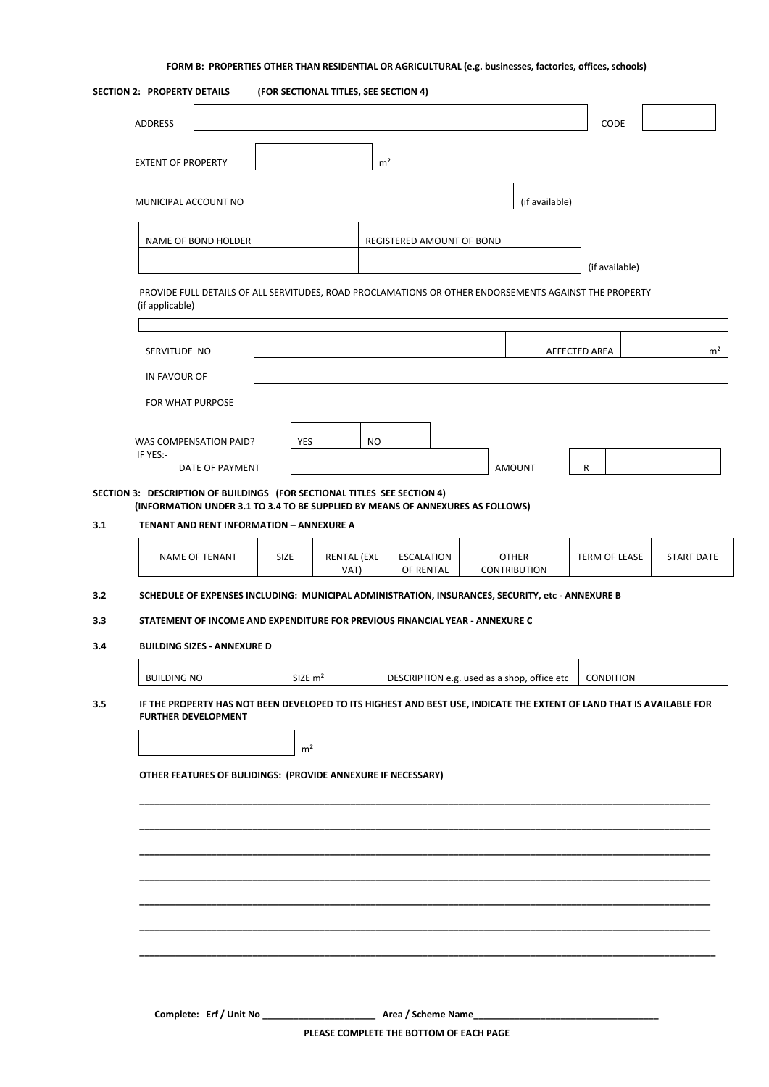# **FORM B: PROPERTIES OTHER THAN RESIDENTIAL OR AGRICULTURAL (e.g. businesses, factories, offices, schools)**

|            | SECTION 2: PROPERTY DETAILS                                              |                                                                                                                                   |                       | (FOR SECTIONAL TITLES, SEE SECTION 4)   |                |                                |                                             |               |                  |                   |
|------------|--------------------------------------------------------------------------|-----------------------------------------------------------------------------------------------------------------------------------|-----------------------|-----------------------------------------|----------------|--------------------------------|---------------------------------------------|---------------|------------------|-------------------|
|            | <b>ADDRESS</b>                                                           |                                                                                                                                   |                       |                                         |                |                                |                                             |               | CODE             |                   |
|            | <b>EXTENT OF PROPERTY</b>                                                |                                                                                                                                   |                       |                                         | m <sup>2</sup> |                                |                                             |               |                  |                   |
|            | MUNICIPAL ACCOUNT NO                                                     |                                                                                                                                   |                       |                                         |                |                                | (if available)                              |               |                  |                   |
|            | NAME OF BOND HOLDER                                                      |                                                                                                                                   |                       |                                         |                | REGISTERED AMOUNT OF BOND      |                                             |               |                  |                   |
|            | (if applicable)                                                          | PROVIDE FULL DETAILS OF ALL SERVITUDES, ROAD PROCLAMATIONS OR OTHER ENDORSEMENTS AGAINST THE PROPERTY                             |                       |                                         |                |                                |                                             |               | (if available)   |                   |
|            | SERVITUDE NO                                                             |                                                                                                                                   |                       |                                         |                |                                |                                             | AFFECTED AREA |                  | m <sup>2</sup>    |
|            | IN FAVOUR OF<br>FOR WHAT PURPOSE                                         |                                                                                                                                   |                       |                                         |                |                                |                                             |               |                  |                   |
|            | WAS COMPENSATION PAID?                                                   |                                                                                                                                   | YES                   | NO                                      |                |                                |                                             |               |                  |                   |
|            | IF YES:-                                                                 | DATE OF PAYMENT                                                                                                                   |                       |                                         |                |                                | AMOUNT                                      | R             |                  |                   |
| 3.1        | SECTION 3: DESCRIPTION OF BUILDINGS (FOR SECTIONAL TITLES SEE SECTION 4) | (INFORMATION UNDER 3.1 TO 3.4 TO BE SUPPLIED BY MEANS OF ANNEXURES AS FOLLOWS)<br><b>TENANT AND RENT INFORMATION - ANNEXURE A</b> |                       |                                         |                |                                |                                             |               |                  |                   |
|            | <b>NAME OF TENANT</b>                                                    |                                                                                                                                   | <b>SIZE</b>           | <b>RENTAL (EXL</b><br>VAT)              |                | <b>ESCALATION</b><br>OF RENTAL | <b>OTHER</b><br><b>CONTRIBUTION</b>         |               | TERM OF LEASE    | <b>START DATE</b> |
| 3.2        |                                                                          | SCHEDULE OF EXPENSES INCLUDING: MUNICIPAL ADMINISTRATION, INSURANCES, SECURITY, etc - ANNEXURE B                                  |                       |                                         |                |                                |                                             |               |                  |                   |
| 3.3<br>3.4 | <b>BUILDING SIZES - ANNEXURE D</b>                                       | STATEMENT OF INCOME AND EXPENDITURE FOR PREVIOUS FINANCIAL YEAR - ANNEXURE C                                                      |                       |                                         |                |                                |                                             |               |                  |                   |
|            | <b>BUILDING NO</b>                                                       |                                                                                                                                   | $SIZE$ m <sup>2</sup> |                                         |                |                                | DESCRIPTION e.g. used as a shop, office etc |               | <b>CONDITION</b> |                   |
| 3.5        | <b>FURTHER DEVELOPMENT</b>                                               | IF THE PROPERTY HAS NOT BEEN DEVELOPED TO ITS HIGHEST AND BEST USE, INDICATE THE EXTENT OF LAND THAT IS AVAILABLE FOR             | m <sup>2</sup>        |                                         |                |                                |                                             |               |                  |                   |
|            |                                                                          | OTHER FEATURES OF BULIDINGS: (PROVIDE ANNEXURE IF NECESSARY)                                                                      |                       |                                         |                |                                |                                             |               |                  |                   |
|            |                                                                          |                                                                                                                                   |                       |                                         |                |                                |                                             |               |                  |                   |
|            |                                                                          |                                                                                                                                   |                       |                                         |                |                                |                                             |               |                  |                   |
|            |                                                                          |                                                                                                                                   |                       |                                         |                |                                |                                             |               |                  |                   |
|            |                                                                          |                                                                                                                                   |                       |                                         |                |                                |                                             |               |                  |                   |
|            |                                                                          |                                                                                                                                   |                       |                                         |                |                                |                                             |               |                  |                   |
|            |                                                                          |                                                                                                                                   |                       | PLEASE COMPLETE THE BOTTOM OF EACH PAGE |                |                                |                                             |               |                  |                   |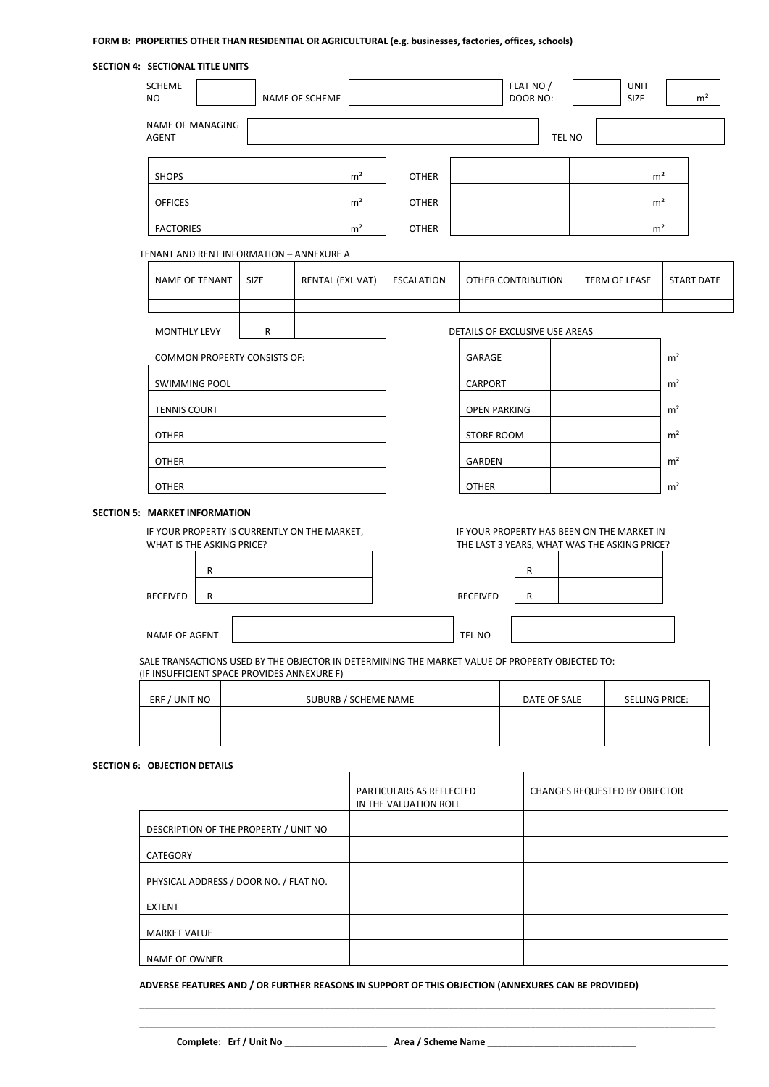# **FORM B: PROPERTIES OTHER THAN RESIDENTIAL OR AGRICULTURAL (e.g. businesses, factories, offices, schools)**

| SECTION 4: SECTIONAL TITLE UNITS                                                                                                               |             |                      |                   |                                |                       |        |                                                                                            |                   |
|------------------------------------------------------------------------------------------------------------------------------------------------|-------------|----------------------|-------------------|--------------------------------|-----------------------|--------|--------------------------------------------------------------------------------------------|-------------------|
| <b>SCHEME</b><br>NO.                                                                                                                           |             | NAME OF SCHEME       |                   |                                | FLAT NO /<br>DOOR NO: |        | <b>UNIT</b><br><b>SIZE</b>                                                                 | m <sup>2</sup>    |
| NAME OF MANAGING<br><b>AGENT</b>                                                                                                               |             |                      |                   |                                |                       | TEL NO |                                                                                            |                   |
| <b>SHOPS</b>                                                                                                                                   |             | m <sup>2</sup>       | <b>OTHER</b>      |                                |                       |        | $\rm m^2$                                                                                  |                   |
| <b>OFFICES</b>                                                                                                                                 |             | m <sup>2</sup>       | <b>OTHER</b>      |                                |                       |        | m <sup>2</sup>                                                                             |                   |
| <b>FACTORIES</b>                                                                                                                               |             | m <sup>2</sup>       | <b>OTHER</b>      |                                |                       |        | m <sup>2</sup>                                                                             |                   |
| TENANT AND RENT INFORMATION - ANNEXURE A                                                                                                       |             |                      |                   |                                |                       |        |                                                                                            |                   |
| NAME OF TENANT                                                                                                                                 | <b>SIZE</b> | RENTAL (EXL VAT)     | <b>ESCALATION</b> |                                | OTHER CONTRIBUTION    |        | TERM OF LEASE                                                                              | <b>START DATE</b> |
| MONTHLY LEVY                                                                                                                                   | R           |                      |                   | DETAILS OF EXCLUSIVE USE AREAS |                       |        |                                                                                            |                   |
| <b>COMMON PROPERTY CONSISTS OF:</b>                                                                                                            |             |                      |                   | GARAGE                         |                       |        |                                                                                            | m <sup>2</sup>    |
| <b>SWIMMING POOL</b>                                                                                                                           |             |                      |                   | CARPORT                        |                       |        |                                                                                            | m <sup>2</sup>    |
| <b>TENNIS COURT</b>                                                                                                                            |             |                      |                   | <b>OPEN PARKING</b>            |                       |        |                                                                                            | m <sup>2</sup>    |
| <b>OTHER</b>                                                                                                                                   |             |                      |                   | STORE ROOM                     |                       |        |                                                                                            | m <sup>2</sup>    |
| <b>OTHER</b>                                                                                                                                   |             |                      |                   | GARDEN                         |                       |        |                                                                                            | m <sup>2</sup>    |
| <b>OTHER</b>                                                                                                                                   |             |                      |                   | <b>OTHER</b>                   |                       |        |                                                                                            | m <sup>2</sup>    |
| <b>SECTION 5: MARKET INFORMATION</b><br>IF YOUR PROPERTY IS CURRENTLY ON THE MARKET,<br>WHAT IS THE ASKING PRICE?<br>R<br>RECEIVED<br>R        |             |                      |                   | <b>RECEIVED</b>                | R<br>R                |        | IF YOUR PROPERTY HAS BEEN ON THE MARKET IN<br>THE LAST 3 YEARS, WHAT WAS THE ASKING PRICE? |                   |
| NAME OF AGENT                                                                                                                                  |             |                      |                   | TEL NO                         |                       |        |                                                                                            |                   |
| SALE TRANSACTIONS USED BY THE OBJECTOR IN DETERMINING THE MARKET VALUE OF PROPERTY OBJECTED TO:<br>(IF INSUFFICIENT SPACE PROVIDES ANNEXURE F) |             |                      |                   |                                |                       |        |                                                                                            |                   |
| ERF / UNIT NO                                                                                                                                  |             | SUBURB / SCHEME NAME |                   |                                | DATE OF SALE          |        | SELLING PRICE:                                                                             |                   |
|                                                                                                                                                |             |                      |                   |                                |                       |        |                                                                                            |                   |
| SECTION 6: OBJECTION DETAILS                                                                                                                   |             |                      |                   |                                |                       |        |                                                                                            |                   |

|                                        | <b>PARTICULARS AS REFLECTED</b><br>IN THE VALUATION ROLL | <b>CHANGES REQUESTED BY OBJECTOR</b> |
|----------------------------------------|----------------------------------------------------------|--------------------------------------|
| DESCRIPTION OF THE PROPERTY / UNIT NO  |                                                          |                                      |
| CATEGORY                               |                                                          |                                      |
| PHYSICAL ADDRESS / DOOR NO. / FLAT NO. |                                                          |                                      |
| <b>EXTENT</b>                          |                                                          |                                      |
| <b>MARKET VALUE</b>                    |                                                          |                                      |
| <b>NAME OF OWNER</b>                   |                                                          |                                      |

**ADVERSE FEATURES AND / OR FURTHER REASONS IN SUPPORT OF THIS OBJECTION (ANNEXURES CAN BE PROVIDED)**

**Complete: Erf / Unit No \_\_\_\_\_\_\_\_\_\_\_\_\_\_\_\_\_\_\_\_ Area / Scheme Name \_\_\_\_\_\_\_\_\_\_\_\_\_\_\_\_\_\_\_\_\_\_\_\_\_\_\_\_\_**

\_\_\_\_\_\_\_\_\_\_\_\_\_\_\_\_\_\_\_\_\_\_\_\_\_\_\_\_\_\_\_\_\_\_\_\_\_\_\_\_\_\_\_\_\_\_\_\_\_\_\_\_\_\_\_\_\_\_\_\_\_\_\_\_\_\_\_\_\_\_\_\_\_\_\_\_\_\_\_\_\_\_\_\_\_\_\_\_\_\_\_\_\_\_\_\_\_\_\_\_\_\_\_\_\_\_\_\_\_\_\_\_ \_\_\_\_\_\_\_\_\_\_\_\_\_\_\_\_\_\_\_\_\_\_\_\_\_\_\_\_\_\_\_\_\_\_\_\_\_\_\_\_\_\_\_\_\_\_\_\_\_\_\_\_\_\_\_\_\_\_\_\_\_\_\_\_\_\_\_\_\_\_\_\_\_\_\_\_\_\_\_\_\_\_\_\_\_\_\_\_\_\_\_\_\_\_\_\_\_\_\_\_\_\_\_\_\_\_\_\_\_\_\_\_